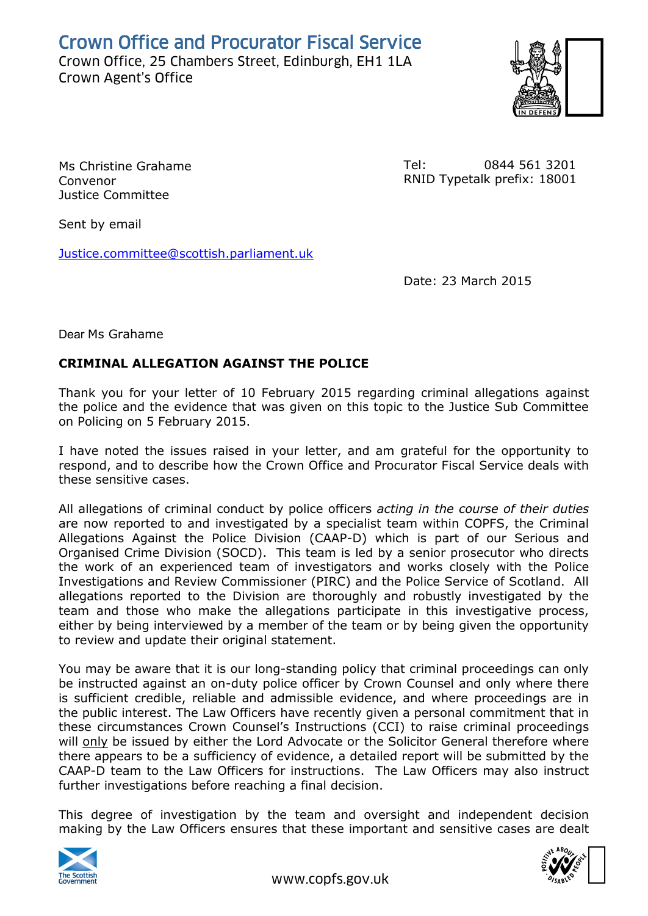Crown Office and Procurator Fiscal Service

Crown Office, 25 Chambers Street, Edinburgh, EH1 1LA Crown Office, 25 Chambers Street, Edinburgh, EH1 1LA<br>Crown Agent's Office<br>Crown Agent's Office



Ms Christine Grahame Convenor Justice Committee

Tel: 0844 561 3201 RNID Typetalk prefix: 18001

Sent by email

[Justice.committee@scottish.parliament.uk](mailto:Justice.committee@scottish.parliament.uk)

Date: 23 March 2015

Dear Ms Grahame

## **CRIMINAL ALLEGATION AGAINST THE POLICE**

Thank you for your letter of 10 February 2015 regarding criminal allegations against the police and the evidence that was given on this topic to the Justice Sub Committee on Policing on 5 February 2015.

I have noted the issues raised in your letter, and am grateful for the opportunity to respond, and to describe how the Crown Office and Procurator Fiscal Service deals with these sensitive cases.

All allegations of criminal conduct by police officers *acting in the course of their duties* are now reported to and investigated by a specialist team within COPFS, the Criminal Allegations Against the Police Division (CAAP-D) which is part of our Serious and Organised Crime Division (SOCD). This team is led by a senior prosecutor who directs the work of an experienced team of investigators and works closely with the Police Investigations and Review Commissioner (PIRC) and the Police Service of Scotland. All allegations reported to the Division are thoroughly and robustly investigated by the team and those who make the allegations participate in this investigative process, either by being interviewed by a member of the team or by being given the opportunity to review and update their original statement.

You may be aware that it is our long-standing policy that criminal proceedings can only be instructed against an on-duty police officer by Crown Counsel and only where there is sufficient credible, reliable and admissible evidence, and where proceedings are in the public interest. The Law Officers have recently given a personal commitment that in these circumstances Crown Counsel's Instructions (CCI) to raise criminal proceedings will only be issued by either the Lord Advocate or the Solicitor General therefore where there appears to be a sufficiency of evidence, a detailed report will be submitted by the CAAP-D team to the Law Officers for instructions. The Law Officers may also instruct further investigations before reaching a final decision.

This degree of investigation by the team and oversight and independent decision making by the Law Officers ensures that these important and sensitive cases are dealt



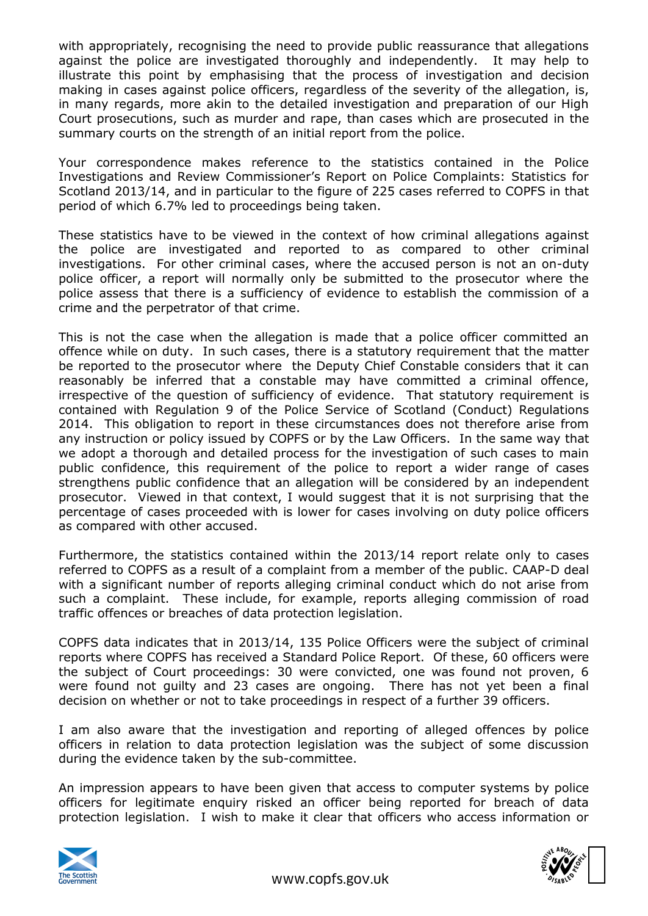with appropriately, recognising the need to provide public reassurance that allegations against the police are investigated thoroughly and independently. It may help to illustrate this point by emphasising that the process of investigation and decision making in cases against police officers, regardless of the severity of the allegation, is, in many regards, more akin to the detailed investigation and preparation of our High Court prosecutions, such as murder and rape, than cases which are prosecuted in the summary courts on the strength of an initial report from the police.

Your correspondence makes reference to the statistics contained in the Police Investigations and Review Commissioner's Report on Police Complaints: Statistics for Scotland 2013/14, and in particular to the figure of 225 cases referred to COPFS in that period of which 6.7% led to proceedings being taken.

These statistics have to be viewed in the context of how criminal allegations against the police are investigated and reported to as compared to other criminal investigations. For other criminal cases, where the accused person is not an on-duty police officer, a report will normally only be submitted to the prosecutor where the police assess that there is a sufficiency of evidence to establish the commission of a crime and the perpetrator of that crime.

This is not the case when the allegation is made that a police officer committed an offence while on duty. In such cases, there is a statutory requirement that the matter be reported to the prosecutor where the Deputy Chief Constable considers that it can reasonably be inferred that a constable may have committed a criminal offence, irrespective of the question of sufficiency of evidence. That statutory requirement is contained with Regulation 9 of the Police Service of Scotland (Conduct) Regulations 2014. This obligation to report in these circumstances does not therefore arise from any instruction or policy issued by COPFS or by the Law Officers. In the same way that we adopt a thorough and detailed process for the investigation of such cases to main public confidence, this requirement of the police to report a wider range of cases strengthens public confidence that an allegation will be considered by an independent prosecutor. Viewed in that context, I would suggest that it is not surprising that the percentage of cases proceeded with is lower for cases involving on duty police officers as compared with other accused.

Furthermore, the statistics contained within the 2013/14 report relate only to cases referred to COPFS as a result of a complaint from a member of the public. CAAP-D deal with a significant number of reports alleging criminal conduct which do not arise from such a complaint. These include, for example, reports alleging commission of road traffic offences or breaches of data protection legislation.

COPFS data indicates that in 2013/14, 135 Police Officers were the subject of criminal reports where COPFS has received a Standard Police Report. Of these, 60 officers were the subject of Court proceedings: 30 were convicted, one was found not proven, 6 were found not guilty and 23 cases are ongoing. There has not yet been a final decision on whether or not to take proceedings in respect of a further 39 officers.

I am also aware that the investigation and reporting of alleged offences by police officers in relation to data protection legislation was the subject of some discussion during the evidence taken by the sub-committee.

An impression appears to have been given that access to computer systems by police officers for legitimate enquiry risked an officer being reported for breach of data protection legislation. I wish to make it clear that officers who access information or